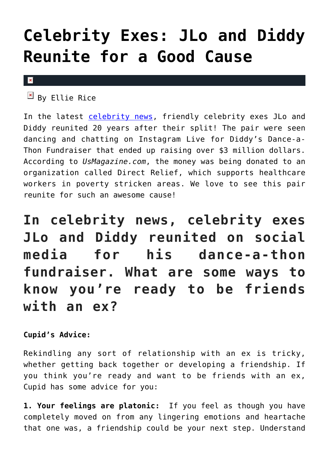## **[Celebrity Exes: JLo and Diddy](https://cupidspulse.com/134560/celebrity-exes-jlo-diddy-reunite-good-cause/) [Reunite for a Good Cause](https://cupidspulse.com/134560/celebrity-exes-jlo-diddy-reunite-good-cause/)**

## $\mathbf x$

 $\boxed{\text{a}}$  By Ellie Rice

In the latest [celebrity news,](http://cupidspulse.com/celebrity-news/) friendly celebrity exes JLo and Diddy reunited 20 years after their split! The pair were seen dancing and chatting on Instagram Live for Diddy's Dance-a-Thon Fundraiser that ended up raising over \$3 million dollars. According to *UsMagazine.com*, the money was being donated to an organization called Direct Relief, which supports healthcare workers in poverty stricken areas. We love to see this pair reunite for such an awesome cause!

**In celebrity news, celebrity exes JLo and Diddy reunited on social media for his dance-a-thon fundraiser. What are some ways to know you're ready to be friends with an ex?**

## **Cupid's Advice:**

Rekindling any sort of relationship with an ex is tricky, whether getting back together or developing a friendship. If you think you're ready and want to be friends with an ex, Cupid has some advice for you:

**1. Your feelings are platonic:** If you feel as though you have completely moved on from any lingering emotions and heartache that one was, a friendship could be your next step. Understand